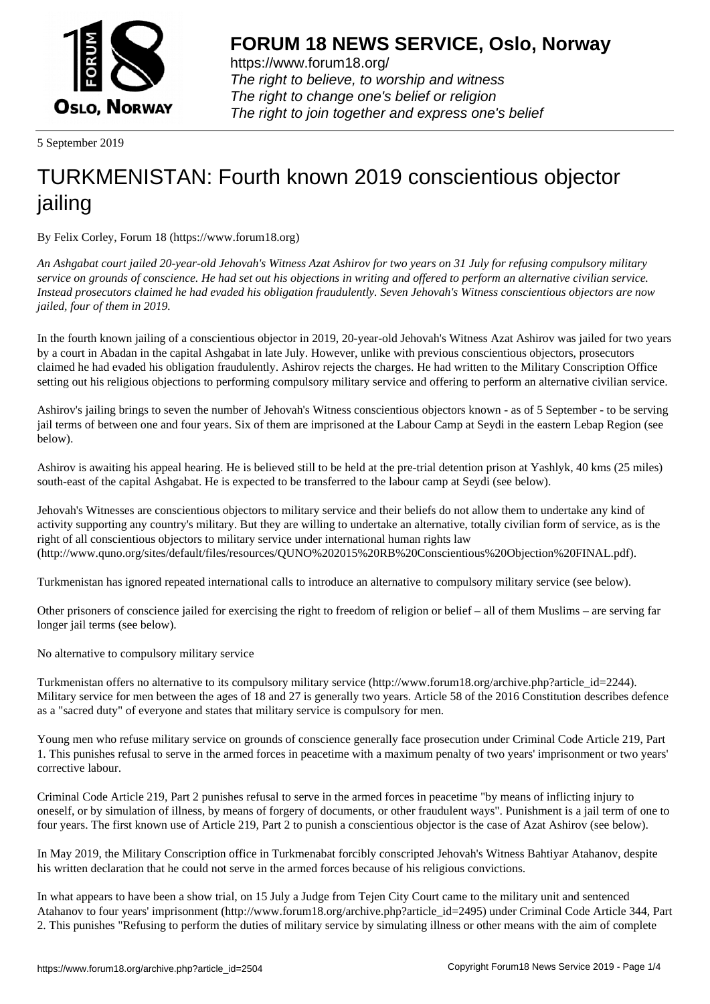

https://www.forum18.org/ The right to believe, to worship and witness The right to change one's belief or religion [The right to join together a](https://www.forum18.org/)nd express one's belief

5 September 2019

## [TURKMENISTA](https://www.forum18.org)N: Fourth known 2019 conscientious objector jailing

By Felix Corley, Forum 18 (https://www.forum18.org)

*An Ashgabat court jailed 20-year-old Jehovah's Witness Azat Ashirov for two years on 31 July for refusing compulsory military service on grounds of conscience. He had set out his objections in writing and offered to perform an alternative civilian service. Instead prosecutors claimed he had evaded his obligation fraudulently. Seven Jehovah's Witness conscientious objectors are now jailed, four of them in 2019.*

In the fourth known jailing of a conscientious objector in 2019, 20-year-old Jehovah's Witness Azat Ashirov was jailed for two years by a court in Abadan in the capital Ashgabat in late July. However, unlike with previous conscientious objectors, prosecutors claimed he had evaded his obligation fraudulently. Ashirov rejects the charges. He had written to the Military Conscription Office setting out his religious objections to performing compulsory military service and offering to perform an alternative civilian service.

Ashirov's jailing brings to seven the number of Jehovah's Witness conscientious objectors known - as of 5 September - to be serving jail terms of between one and four years. Six of them are imprisoned at the Labour Camp at Seydi in the eastern Lebap Region (see below).

Ashirov is awaiting his appeal hearing. He is believed still to be held at the pre-trial detention prison at Yashlyk, 40 kms (25 miles) south-east of the capital Ashgabat. He is expected to be transferred to the labour camp at Seydi (see below).

Jehovah's Witnesses are conscientious objectors to military service and their beliefs do not allow them to undertake any kind of activity supporting any country's military. But they are willing to undertake an alternative, totally civilian form of service, as is the right of all conscientious objectors to military service under international human rights law (http://www.quno.org/sites/default/files/resources/QUNO%202015%20RB%20Conscientious%20Objection%20FINAL.pdf).

Turkmenistan has ignored repeated international calls to introduce an alternative to compulsory military service (see below).

Other prisoners of conscience jailed for exercising the right to freedom of religion or belief – all of them Muslims – are serving far longer jail terms (see below).

No alternative to compulsory military service

Turkmenistan offers no alternative to its compulsory military service (http://www.forum18.org/archive.php?article\_id=2244). Military service for men between the ages of 18 and 27 is generally two years. Article 58 of the 2016 Constitution describes defence as a "sacred duty" of everyone and states that military service is compulsory for men.

Young men who refuse military service on grounds of conscience generally face prosecution under Criminal Code Article 219, Part 1. This punishes refusal to serve in the armed forces in peacetime with a maximum penalty of two years' imprisonment or two years' corrective labour.

Criminal Code Article 219, Part 2 punishes refusal to serve in the armed forces in peacetime "by means of inflicting injury to oneself, or by simulation of illness, by means of forgery of documents, or other fraudulent ways". Punishment is a jail term of one to four years. The first known use of Article 219, Part 2 to punish a conscientious objector is the case of Azat Ashirov (see below).

In May 2019, the Military Conscription office in Turkmenabat forcibly conscripted Jehovah's Witness Bahtiyar Atahanov, despite his written declaration that he could not serve in the armed forces because of his religious convictions.

In what appears to have been a show trial, on 15 July a Judge from Tejen City Court came to the military unit and sentenced Atahanov to four years' imprisonment (http://www.forum18.org/archive.php?article\_id=2495) under Criminal Code Article 344, Part 2. This punishes "Refusing to perform the duties of military service by simulating illness or other means with the aim of complete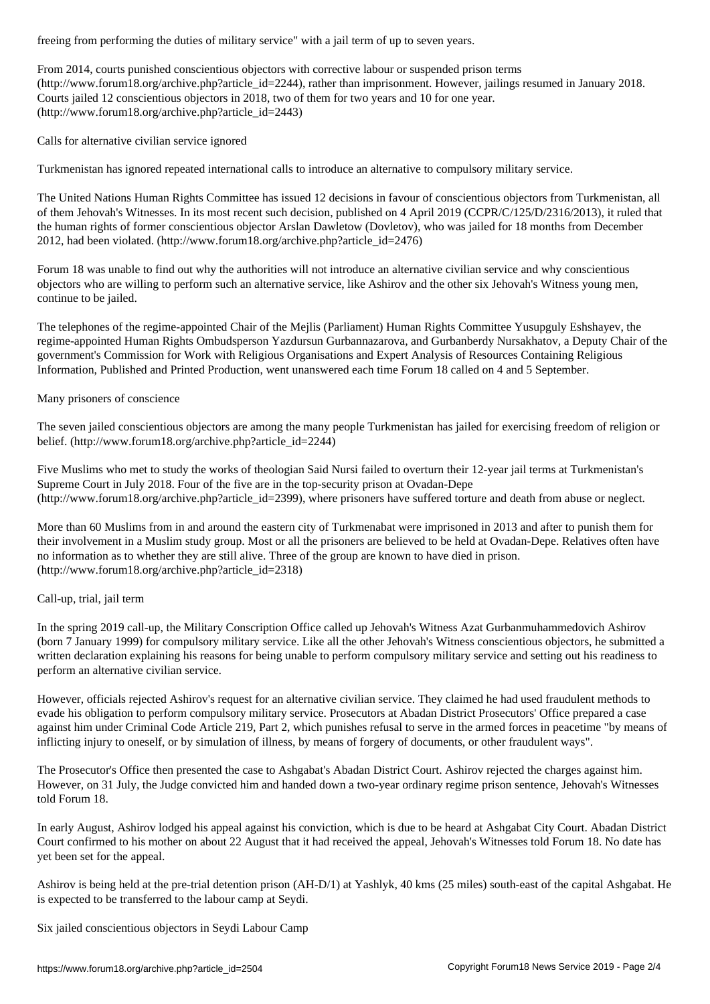From 2014, courts punished conscientious objectors with corrective labour or suspended prison terms (http://www.forum18.org/archive.php?article\_id=2244), rather than imprisonment. However, jailings resumed in January 2018. Courts jailed 12 conscientious objectors in 2018, two of them for two years and 10 for one year. (http://www.forum18.org/archive.php?article\_id=2443)

Calls for alternative civilian service ignored

Turkmenistan has ignored repeated international calls to introduce an alternative to compulsory military service.

The United Nations Human Rights Committee has issued 12 decisions in favour of conscientious objectors from Turkmenistan, all of them Jehovah's Witnesses. In its most recent such decision, published on 4 April 2019 (CCPR/C/125/D/2316/2013), it ruled that the human rights of former conscientious objector Arslan Dawletow (Dovletov), who was jailed for 18 months from December 2012, had been violated. (http://www.forum18.org/archive.php?article\_id=2476)

Forum 18 was unable to find out why the authorities will not introduce an alternative civilian service and why conscientious objectors who are willing to perform such an alternative service, like Ashirov and the other six Jehovah's Witness young men, continue to be jailed.

The telephones of the regime-appointed Chair of the Mejlis (Parliament) Human Rights Committee Yusupguly Eshshayev, the regime-appointed Human Rights Ombudsperson Yazdursun Gurbannazarova, and Gurbanberdy Nursakhatov, a Deputy Chair of the government's Commission for Work with Religious Organisations and Expert Analysis of Resources Containing Religious Information, Published and Printed Production, went unanswered each time Forum 18 called on 4 and 5 September.

## Many prisoners of conscience

The seven jailed conscientious objectors are among the many people Turkmenistan has jailed for exercising freedom of religion or belief. (http://www.forum18.org/archive.php?article\_id=2244)

Five Muslims who met to study the works of theologian Said Nursi failed to overturn their 12-year jail terms at Turkmenistan's Supreme Court in July 2018. Four of the five are in the top-security prison at Ovadan-Depe (http://www.forum18.org/archive.php?article\_id=2399), where prisoners have suffered torture and death from abuse or neglect.

More than 60 Muslims from in and around the eastern city of Turkmenabat were imprisoned in 2013 and after to punish them for their involvement in a Muslim study group. Most or all the prisoners are believed to be held at Ovadan-Depe. Relatives often have no information as to whether they are still alive. Three of the group are known to have died in prison. (http://www.forum18.org/archive.php?article\_id=2318)

## Call-up, trial, jail term

In the spring 2019 call-up, the Military Conscription Office called up Jehovah's Witness Azat Gurbanmuhammedovich Ashirov (born 7 January 1999) for compulsory military service. Like all the other Jehovah's Witness conscientious objectors, he submitted a written declaration explaining his reasons for being unable to perform compulsory military service and setting out his readiness to perform an alternative civilian service.

However, officials rejected Ashirov's request for an alternative civilian service. They claimed he had used fraudulent methods to evade his obligation to perform compulsory military service. Prosecutors at Abadan District Prosecutors' Office prepared a case against him under Criminal Code Article 219, Part 2, which punishes refusal to serve in the armed forces in peacetime "by means of inflicting injury to oneself, or by simulation of illness, by means of forgery of documents, or other fraudulent ways".

The Prosecutor's Office then presented the case to Ashgabat's Abadan District Court. Ashirov rejected the charges against him. However, on 31 July, the Judge convicted him and handed down a two-year ordinary regime prison sentence, Jehovah's Witnesses told Forum 18.

In early August, Ashirov lodged his appeal against his conviction, which is due to be heard at Ashgabat City Court. Abadan District Court confirmed to his mother on about 22 August that it had received the appeal, Jehovah's Witnesses told Forum 18. No date has yet been set for the appeal.

Ashirov is being held at the pre-trial detention prison (AH-D/1) at Yashlyk, 40 kms (25 miles) south-east of the capital Ashgabat. He is expected to be transferred to the labour camp at Seydi.

Six jailed conscientious objectors in Seydi Labour Camp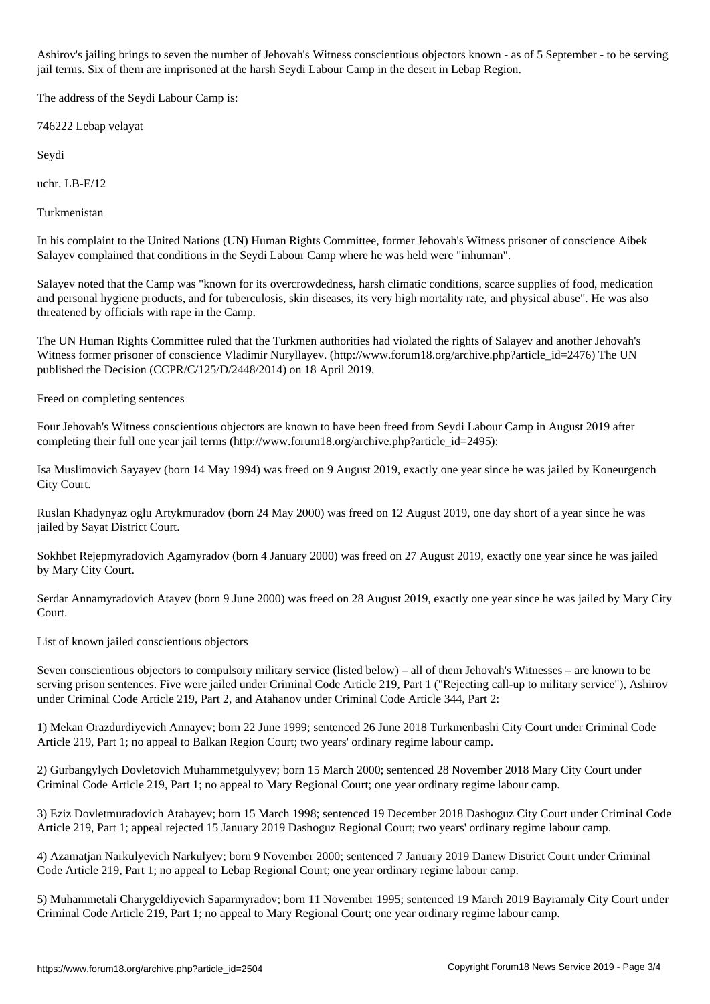Ashirov's jailing brings to seven the number of Jehovah's Witness conscientious objectors known - as of 5 September - to be serving jail terms. Six of them are imprisoned at the harsh Seydi Labour Camp in the desert in Lebap Region.

The address of the Seydi Labour Camp is:

746222 Lebap velayat

Seydi

uchr. LB-E/12

Turkmenistan

In his complaint to the United Nations (UN) Human Rights Committee, former Jehovah's Witness prisoner of conscience Aibek Salayev complained that conditions in the Seydi Labour Camp where he was held were "inhuman".

Salayev noted that the Camp was "known for its overcrowdedness, harsh climatic conditions, scarce supplies of food, medication and personal hygiene products, and for tuberculosis, skin diseases, its very high mortality rate, and physical abuse". He was also threatened by officials with rape in the Camp.

The UN Human Rights Committee ruled that the Turkmen authorities had violated the rights of Salayev and another Jehovah's Witness former prisoner of conscience Vladimir Nuryllayev. (http://www.forum18.org/archive.php?article\_id=2476) The UN published the Decision (CCPR/C/125/D/2448/2014) on 18 April 2019.

Freed on completing sentences

Four Jehovah's Witness conscientious objectors are known to have been freed from Seydi Labour Camp in August 2019 after completing their full one year jail terms (http://www.forum18.org/archive.php?article  $id=2495$ ):

Isa Muslimovich Sayayev (born 14 May 1994) was freed on 9 August 2019, exactly one year since he was jailed by Koneurgench City Court.

Ruslan Khadynyaz oglu Artykmuradov (born 24 May 2000) was freed on 12 August 2019, one day short of a year since he was jailed by Sayat District Court.

Sokhbet Rejepmyradovich Agamyradov (born 4 January 2000) was freed on 27 August 2019, exactly one year since he was jailed by Mary City Court.

Serdar Annamyradovich Atayev (born 9 June 2000) was freed on 28 August 2019, exactly one year since he was jailed by Mary City Court.

List of known jailed conscientious objectors

Seven conscientious objectors to compulsory military service (listed below) – all of them Jehovah's Witnesses – are known to be serving prison sentences. Five were jailed under Criminal Code Article 219, Part 1 ("Rejecting call-up to military service"), Ashirov under Criminal Code Article 219, Part 2, and Atahanov under Criminal Code Article 344, Part 2:

1) Mekan Orazdurdiyevich Annayev; born 22 June 1999; sentenced 26 June 2018 Turkmenbashi City Court under Criminal Code Article 219, Part 1; no appeal to Balkan Region Court; two years' ordinary regime labour camp.

2) Gurbangylych Dovletovich Muhammetgulyyev; born 15 March 2000; sentenced 28 November 2018 Mary City Court under Criminal Code Article 219, Part 1; no appeal to Mary Regional Court; one year ordinary regime labour camp.

3) Eziz Dovletmuradovich Atabayev; born 15 March 1998; sentenced 19 December 2018 Dashoguz City Court under Criminal Code Article 219, Part 1; appeal rejected 15 January 2019 Dashoguz Regional Court; two years' ordinary regime labour camp.

4) Azamatjan Narkulyevich Narkulyev; born 9 November 2000; sentenced 7 January 2019 Danew District Court under Criminal Code Article 219, Part 1; no appeal to Lebap Regional Court; one year ordinary regime labour camp.

5) Muhammetali Charygeldiyevich Saparmyradov; born 11 November 1995; sentenced 19 March 2019 Bayramaly City Court under Criminal Code Article 219, Part 1; no appeal to Mary Regional Court; one year ordinary regime labour camp.